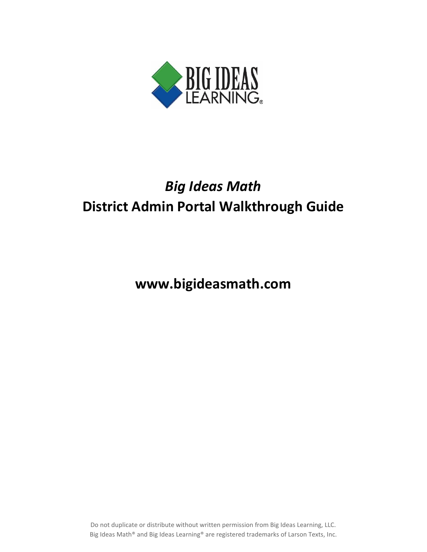

## *Big Ideas Math* **District Admin Portal Walkthrough Guide**

**www.bigideasmath.com**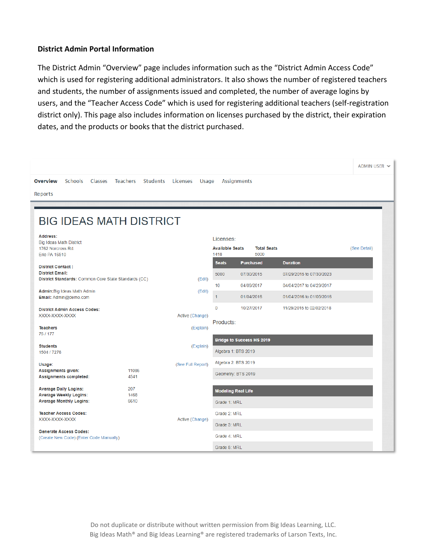## **District Admin Portal Information**

The District Admin "Overview" page includes information such as the "District Admin Access Code" which is used for registering additional administrators. It also shows the number of registered teachers and students, the number of assignments issued and completed, the number of average logins by users, and the "Teacher Access Code" which is used for registering additional teachers (self-registration district only). This page also includes information on licenses purchased by the district, their expiration dates, and the products or books that the district purchased.

|                                                                                                            |                      |                        |                                             |                                  |                                                      | ADMIN USER V |
|------------------------------------------------------------------------------------------------------------|----------------------|------------------------|---------------------------------------------|----------------------------------|------------------------------------------------------|--------------|
| <b>Overview</b><br><b>Schools</b><br>Classes                                                               | Teachers<br>Students | Licenses<br>Usage      | <b>Assignments</b>                          |                                  |                                                      |              |
| Reports                                                                                                    |                      |                        |                                             |                                  |                                                      |              |
| <b>BIG IDEAS MATH DISTRICT</b>                                                                             |                      |                        |                                             |                                  |                                                      |              |
| Address:<br><b>Big Ideas Math District</b><br>1762 Norcross Rd.<br>Erie PA 16510                           |                      |                        | Licenses:<br><b>Available Seats</b><br>1418 | <b>Total Seats</b><br>5000       |                                                      | (See Detail) |
| <b>District Contact:</b><br><b>District Email:</b><br>District Standards: Common Core State Standards (CC) |                      | (E <sub>di</sub> )     | <b>Seats</b><br>5000                        | <b>Purchased</b><br>07/30/2015   | <b>Duration</b><br>07/29/2015 to 07/30/2023          |              |
| Admin: Big Ideas Math Admin<br>Email: Admin@demo.com                                                       |                      | (Edit)                 | 10 <sub>1</sub><br>1                        | 04/09/2017<br>01/04/2016         | 04/04/2017 to 04/29/2017<br>01/04/2016 to 01/05/2016 |              |
| <b>District Admin Access Codes:</b><br>XXXX-XXXX-XXXX                                                      |                      | Active (Change)        | $\mathbf 0$<br>Products:                    | 10/27/2017                       | 11/29/2015 to 02/02/2018                             |              |
| <b>Teachers</b><br>75/177<br><b>Students</b>                                                               |                      | (Explain)<br>(Explain) |                                             | <b>Bridge to Success HS 2019</b> |                                                      |              |
| 1504 / 7278                                                                                                |                      |                        | Algebra 1: BTS 2019                         |                                  |                                                      |              |
| Usage:<br><b>Assignments given:</b><br>Assignments completed:                                              | 11086<br>4541        | (See Full Report)      | Algebra 2: BTS 2019<br>Geometry: BTS 2019   |                                  |                                                      |              |
| <b>Average Daily Logins:</b><br><b>Average Weekly Logins:</b><br><b>Average Monthly Logins:</b>            | 207<br>1468<br>6610  |                        | <b>Modeling Real Life</b><br>Grade 1: MRL   |                                  |                                                      |              |
| <b>Teacher Access Codes:</b><br>XXXX-XXXX-XXXX                                                             |                      | Active (Change)        | Grade 2: MRL<br>Grade 3: MRL                |                                  |                                                      |              |
| <b>Generate Access Codes:</b><br>(Create New Code) (Enter Code Manually)                                   |                      |                        | Grade 4: MRL<br>Grade 5: MRL                |                                  |                                                      |              |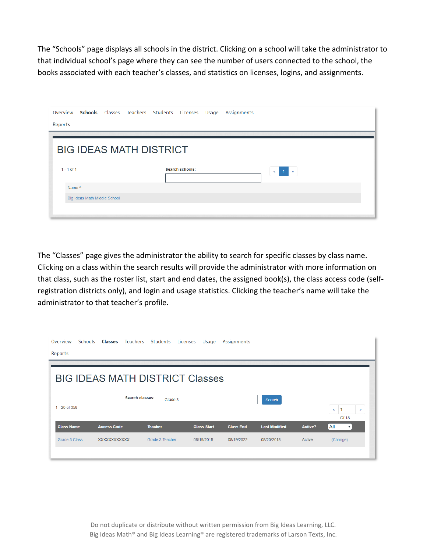The "Schools" page displays all schools in the district. Clicking on a school will take the administrator to that individual school's page where they can see the number of users connected to the school, the books associated with each teacher's classes, and statistics on licenses, logins, and assignments.

| Overview Schools Classes Teachers Students Licenses Usage Assignments |  |                        |  |                         |
|-----------------------------------------------------------------------|--|------------------------|--|-------------------------|
| Reports                                                               |  |                        |  |                         |
|                                                                       |  |                        |  |                         |
| <b>BIG IDEAS MATH DISTRICT</b>                                        |  |                        |  |                         |
|                                                                       |  |                        |  |                         |
| $1 - 1$ of 1                                                          |  | <b>Search schools:</b> |  | 1 <sup>2</sup><br>$\ll$ |
| Name ^                                                                |  |                        |  |                         |
| Big Ideas Math Middle School                                          |  |                        |  |                         |
|                                                                       |  |                        |  |                         |

The "Classes" page gives the administrator the ability to search for specific classes by class name. Clicking on a class within the search results will provide the administrator with more information on that class, such as the roster list, start and end dates, the assigned book(s), the class access code (selfregistration districts only), and login and usage statistics. Clicking the teacher's name will take the administrator to that teacher's profile.

| Overview          | <b>Schools</b> | Classes              | Teachers        | Students                               | Licenses | Usage              | Assignments      |                      |         |                                  |              |
|-------------------|----------------|----------------------|-----------------|----------------------------------------|----------|--------------------|------------------|----------------------|---------|----------------------------------|--------------|
| Reports           |                |                      |                 |                                        |          |                    |                  |                      |         |                                  |              |
|                   |                |                      |                 | <b>BIG IDEAS MATH DISTRICT Classes</b> |          |                    |                  |                      |         |                                  |              |
| 1 - 20 of 358     |                |                      | Search classes: | Grade 3                                |          |                    |                  | <b>Search</b>        |         | $\pmb{\alpha}$<br>Of 18          | $\mathbf{p}$ |
| <b>Class Name</b> |                | <b>Access Code</b>   |                 | <b>Teacher</b>                         |          | <b>Class Start</b> | <b>Class End</b> | <b>Last Modified</b> | Active? | All<br>$\boldsymbol{\mathrm{v}}$ |              |
| Grade 3 Class     |                | <b>XXXXXXXXXXXXX</b> |                 | Grade 3 Teacher                        |          | 08/19/2018         | 08/19/2022       | 08/20/2018           | Active  | (Change)                         |              |
|                   |                |                      |                 |                                        |          |                    |                  |                      |         |                                  |              |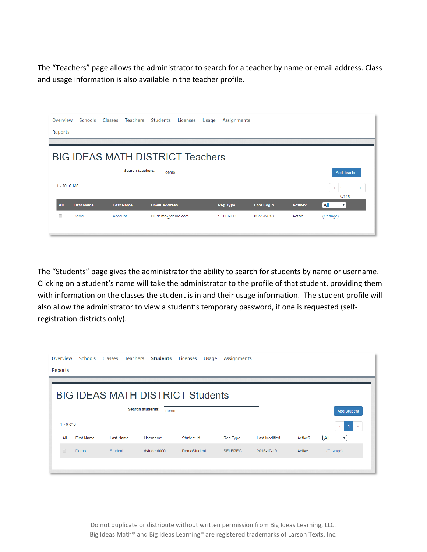The "Teachers" page allows the administrator to search for a teacher by name or email address. Class and usage information is also available in the teacher profile.

| Overview                                       | Schools           | Classes          | <b>Teachers</b> | Students             | Licenses | Usage | <b>Assignments</b> |                   |         |                                  |                           |
|------------------------------------------------|-------------------|------------------|-----------------|----------------------|----------|-------|--------------------|-------------------|---------|----------------------------------|---------------------------|
| Reports                                        |                   |                  |                 |                      |          |       |                    |                   |         |                                  |                           |
| <b>BIG IDEAS MATH DISTRICT Teachers</b>        |                   |                  |                 |                      |          |       |                    |                   |         |                                  |                           |
| Search teachers:<br>demo<br><b>Add Teacher</b> |                   |                  |                 |                      |          |       |                    |                   |         |                                  |                           |
| 1 - 20 of 185                                  |                   |                  |                 |                      |          |       |                    |                   |         |                                  |                           |
|                                                |                   |                  |                 |                      |          |       |                    |                   |         | $\blacktriangleleft$<br>$\alpha$ | $\mathcal{D}$<br>Of 10    |
| All                                            | <b>First Name</b> | <b>Last Name</b> |                 | <b>Email Address</b> |          |       | <b>Reg Type</b>    | <b>Last Login</b> | Active? | All                              | $\boldsymbol{\mathrm{v}}$ |
| ∩                                              | Demo              | Account          |                 | BILdemo@demo.com     |          |       | <b>SELFREG</b>     | 09/25/2018        | Active  | (Change)                         |                           |
|                                                |                   |                  |                 |                      |          |       |                    |                   |         |                                  |                           |

The "Students" page gives the administrator the ability to search for students by name or username. Clicking on a student's name will take the administrator to the profile of that student, providing them with information on the classes the student is in and their usage information. The student profile will also allow the administrator to view a student's temporary password, if one is requested (selfregistration districts only).

| Overview     | <b>Schools</b>                                        | Classes<br>Teachers | <b>Students</b>                         | Licenses<br>Usage  | <b>Assignments</b> |                      |         |                                  |  |
|--------------|-------------------------------------------------------|---------------------|-----------------------------------------|--------------------|--------------------|----------------------|---------|----------------------------------|--|
| Reports      |                                                       |                     |                                         |                    |                    |                      |         |                                  |  |
|              |                                                       |                     | <b>BIG IDEAS MATH DISTRICT Students</b> |                    |                    |                      |         |                                  |  |
|              | <b>Search students:</b><br>demo<br><b>Add Student</b> |                     |                                         |                    |                    |                      |         |                                  |  |
| $1 - 6$ of 6 |                                                       |                     |                                         |                    |                    |                      |         | 47<br>$\alpha$<br>∣≫             |  |
| All          | <b>First Name</b>                                     | Last Name           | Username                                | Student Id         | Reg Type           | <b>Last Modified</b> | Active? | All<br>$\boldsymbol{\mathrm{v}}$ |  |
| $\Box$       | Demo                                                  | <b>Student</b>      | dstudent000                             | <b>DemoStudent</b> | <b>SELFREG</b>     | 2016-10-19           | Active  | (Change)                         |  |
|              |                                                       |                     |                                         |                    |                    |                      |         |                                  |  |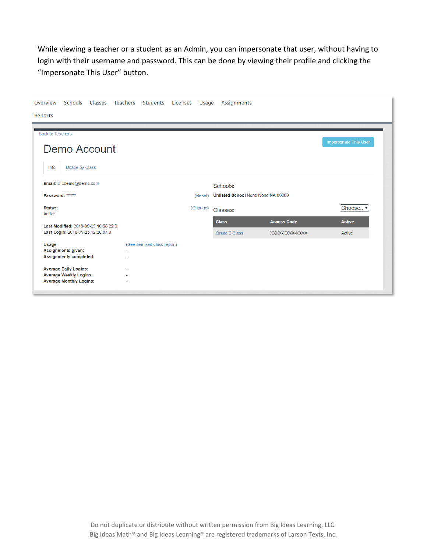While viewing a teacher or a student as an Admin, you can impersonate that user, without having to login with their username and password. This can be done by viewing their profile and clicking the "Impersonate This User" button.

| Classes<br>Teachers<br>Overview<br><b>Schools</b>                                                                                                                                                           | Students                         | Licenses Usage | Assignments                                    |                    |                           |
|-------------------------------------------------------------------------------------------------------------------------------------------------------------------------------------------------------------|----------------------------------|----------------|------------------------------------------------|--------------------|---------------------------|
| Reports                                                                                                                                                                                                     |                                  |                |                                                |                    |                           |
| <b>Back to Teachers</b><br>Demo Account<br>Info                                                                                                                                                             |                                  |                |                                                |                    | Impersonate This User     |
| Usage by Class<br>Email: BILdemo@demo.com<br>Password: ******                                                                                                                                               |                                  | (Reset)        | Schools:<br>Unlisted School None None NA 00000 |                    |                           |
| Status:<br>Active<br>Last Modified: 2018-09-25 10:58:22.0                                                                                                                                                   |                                  | (Change)       | Classes:<br><b>Class</b>                       | <b>Access Code</b> | Choose v<br><b>Active</b> |
| Last Login: 2018-09-25 12:36:07.0<br>Usage<br><b>Assignments given:</b><br><b>Assignments completed:</b><br><b>Average Daily Logins:</b><br><b>Average Weekly Logins:</b><br><b>Average Monthly Logins:</b> | (See itemized class report)<br>٠ |                | Grade 6 Class                                  | XXXX-XXXX-XXXX     | Active                    |
|                                                                                                                                                                                                             |                                  |                |                                                |                    |                           |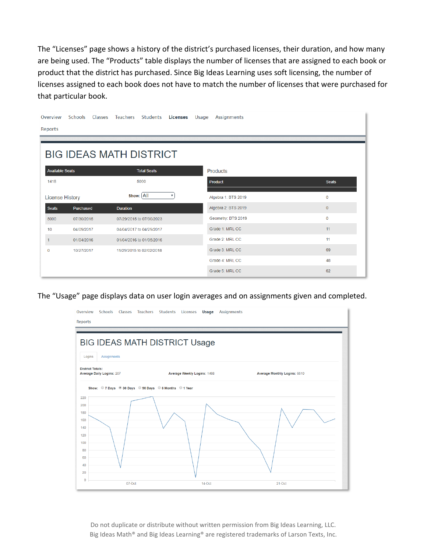The "Licenses" page shows a history of the district's purchased licenses, their duration, and how many are being used. The "Products" table displays the number of licenses that are assigned to each book or product that the district has purchased. Since Big Ideas Learning uses soft licensing, the number of licenses assigned to each book does not have to match the number of licenses that were purchased for that particular book.

| Overview               |                                | Schools Classes Teachers Students Licenses |                    |   | Usage | Assignments         |  |              |  |
|------------------------|--------------------------------|--------------------------------------------|--------------------|---|-------|---------------------|--|--------------|--|
| Reports                |                                |                                            |                    |   |       |                     |  |              |  |
|                        |                                |                                            |                    |   |       |                     |  |              |  |
|                        | <b>BIG IDEAS MATH DISTRICT</b> |                                            |                    |   |       |                     |  |              |  |
|                        |                                |                                            |                    |   |       |                     |  |              |  |
| <b>Available Seats</b> |                                |                                            | <b>Total Seats</b> |   |       | <b>Products</b>     |  |              |  |
| 1418                   |                                |                                            | 5000               |   |       | Product             |  | <b>Seats</b> |  |
| <b>License History</b> |                                | show: All                                  |                    | ▼ |       | Algebra 1: BTS 2019 |  | $\mathbf 0$  |  |
| <b>Seats</b>           | Purchased                      | <b>Duration</b>                            |                    |   |       | Algebra 2: BTS 2019 |  | $\mathbf{0}$ |  |
| 5000                   | 07/30/2015                     | 07/29/2015 to 07/30/2023                   |                    |   |       | Geometry: BTS 2019  |  | $\mathbf 0$  |  |
| 10                     | 04/09/2017                     | 04/04/2017 to 04/29/2017                   |                    |   |       | Grade 1: MRL CC     |  | 11           |  |
| 1                      | 01/04/2016                     | 01/04/2016 to 01/05/2016                   |                    |   |       | Grade 2: MRL CC     |  | 11           |  |
| 0                      | 10/27/2017                     | 11/29/2015 to 02/02/2018                   |                    |   |       | Grade 3: MRL CC     |  | 69           |  |
|                        |                                |                                            |                    |   |       | Grade 4: MRL CC     |  | 48           |  |
|                        |                                |                                            |                    |   |       | Grade 5: MRL CC     |  | 62           |  |

The "Usage" page displays data on user login averages and on assignments given and completed.

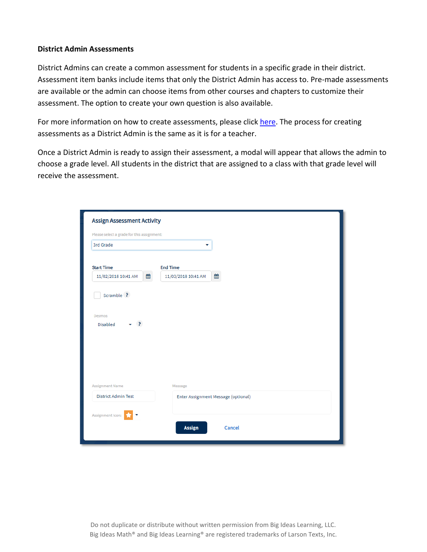## **District Admin Assessments**

District Admins can create a common assessment for students in a specific grade in their district. Assessment item banks include items that only the District Admin has access to. Pre-made assessments are available or the admin can choose items from other courses and chapters to customize their assessment. The option to create your own question is also available.

For more information on how to create assessments, please click [here.](https://support.bigideasmath.com/hc/en-us/articles/360025709914-Creating-Assignments-) The process for creating assessments as a District Admin is the same as it is for a teacher.

Once a District Admin is ready to assign their assessment, a modal will appear that allows the admin to choose a grade level. All students in the district that are assigned to a class with that grade level will receive the assessment.

| Please select a grade for this assignment: |                     |                                     |  |
|--------------------------------------------|---------------------|-------------------------------------|--|
| 3rd Grade                                  | ٠                   |                                     |  |
| <b>Start Time</b>                          | <b>End Time</b>     |                                     |  |
| 雦<br>11/02/2018 10:41 AM                   | 11/03/2018 10:41 AM | 雦                                   |  |
|                                            |                     |                                     |  |
|                                            |                     |                                     |  |
| <b>Assignment Name</b>                     | Message             |                                     |  |
| <b>District Admin Test</b>                 |                     | Enter Assignment Message (optional) |  |
| Assignment Icon:                           |                     |                                     |  |